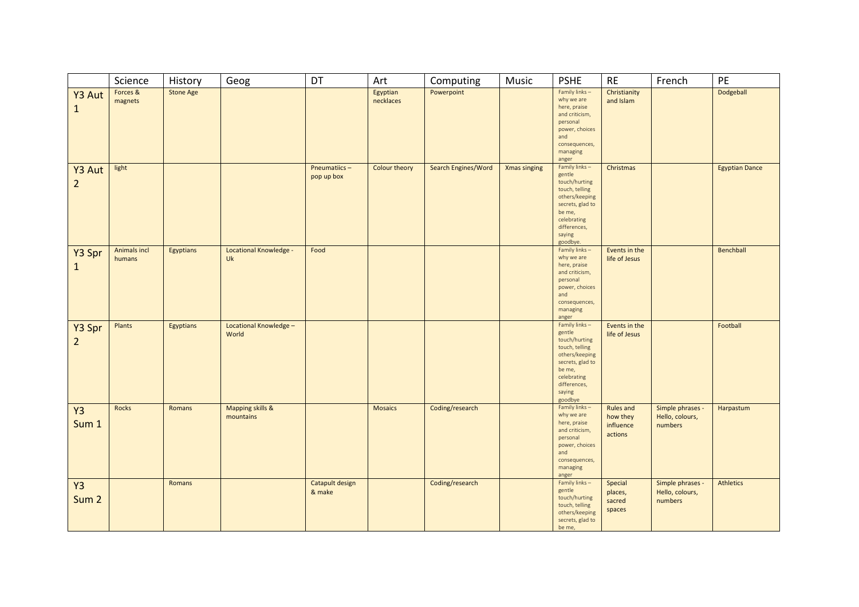|                               | Science                       | History          | Geog                            | DT                         | Art                   | Computing           | Music               | <b>PSHE</b>                                                                                                                                                     | <b>RE</b>                                     | French                                         | PE                    |
|-------------------------------|-------------------------------|------------------|---------------------------------|----------------------------|-----------------------|---------------------|---------------------|-----------------------------------------------------------------------------------------------------------------------------------------------------------------|-----------------------------------------------|------------------------------------------------|-----------------------|
| Y3 Aut<br>$\mathbf{1}$        | Forces &<br>magnets           | <b>Stone Age</b> |                                 |                            | Egyptian<br>necklaces | Powerpoint          |                     | Family links-<br>why we are<br>here, praise<br>and criticism,<br>personal<br>power, choices<br>and<br>consequences,<br>managing<br>anger                        | Christianity<br>and Islam                     |                                                | Dodgeball             |
| Y3 Aut<br>$\overline{2}$      | light                         |                  |                                 | Pneumatiics-<br>pop up box | Colour theory         | Search Engines/Word | <b>Xmas singing</b> | Family links-<br>gentle<br>touch/hurting<br>touch, telling<br>others/keeping<br>secrets, glad to<br>be me,<br>celebrating<br>differences,<br>saying<br>goodbye. | Christmas                                     |                                                | <b>Egyptian Dance</b> |
| Y3 Spr<br>$\mathbf{1}$        | <b>Animals incl</b><br>humans | Egyptians        | Locational Knowledge -<br>Uk    | Food                       |                       |                     |                     | Family links-<br>why we are<br>here, praise<br>and criticism,<br>personal<br>power, choices<br>and<br>consequences,<br>managing<br>anger                        | Events in the<br>life of Jesus                |                                                | Benchball             |
| Y3 Spr<br>$\overline{2}$      | Plants                        | Egyptians        | Locational Knowledge -<br>World |                            |                       |                     |                     | Family links-<br>gentle<br>touch/hurting<br>touch, telling<br>others/keeping<br>secrets, glad to<br>be me,<br>celebrating<br>differences,<br>saying<br>goodbye  | Events in the<br>life of Jesus                |                                                | Football              |
| Y <sub>3</sub><br>Sum 1       | <b>Rocks</b>                  | Romans           | Mapping skills &<br>mountains   |                            | <b>Mosaics</b>        | Coding/research     |                     | Family links-<br>why we are<br>here, praise<br>and criticism,<br>personal<br>power, choices<br>and<br>consequences,<br>managing<br>anger                        | Rules and<br>how they<br>influence<br>actions | Simple phrases -<br>Hello, colours,<br>numbers | Harpastum             |
| <b>Y3</b><br>Sum <sub>2</sub> |                               | Romans           |                                 | Catapult design<br>& make  |                       | Coding/research     |                     | Family links-<br>gentle<br>touch/hurting<br>touch, telling<br>others/keeping<br>secrets, glad to<br>be me,                                                      | Special<br>places,<br>sacred<br>spaces        | Simple phrases -<br>Hello, colours,<br>numbers | <b>Athletics</b>      |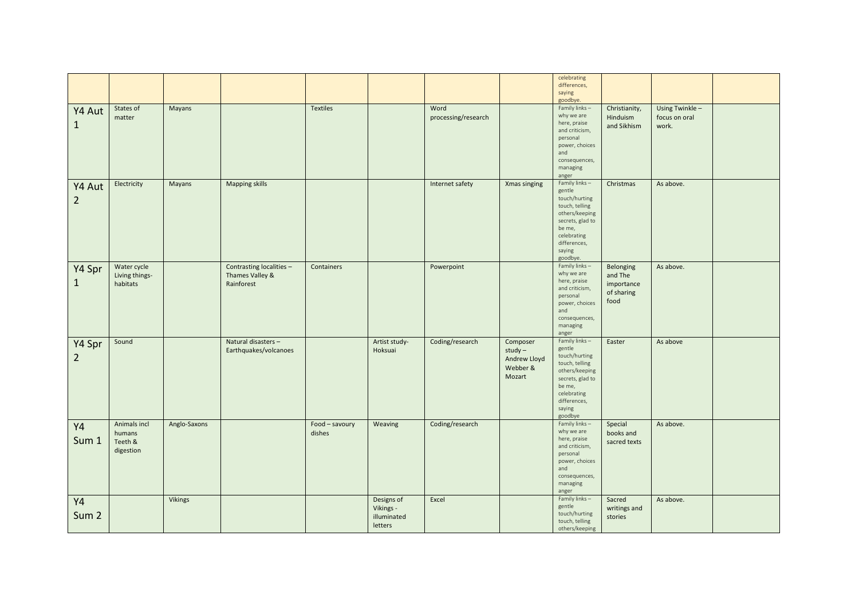|                  |                |              |                          |                 |               |                     |              | celebrating<br>differences,<br>saying |               |                 |  |
|------------------|----------------|--------------|--------------------------|-----------------|---------------|---------------------|--------------|---------------------------------------|---------------|-----------------|--|
|                  |                |              |                          |                 |               |                     |              | goodbye.                              |               |                 |  |
|                  | States of      | Mayans       |                          | <b>Textiles</b> |               | Word                |              | Family links-                         | Christianity, | Using Twinkle - |  |
| Y4 Aut           | matter         |              |                          |                 |               | processing/research |              | why we are                            | Hinduism      | focus on oral   |  |
|                  |                |              |                          |                 |               |                     |              | here, praise                          |               |                 |  |
| $\mathbf{1}$     |                |              |                          |                 |               |                     |              | and criticism,                        | and Sikhism   | work.           |  |
|                  |                |              |                          |                 |               |                     |              | personal                              |               |                 |  |
|                  |                |              |                          |                 |               |                     |              | power, choices                        |               |                 |  |
|                  |                |              |                          |                 |               |                     |              |                                       |               |                 |  |
|                  |                |              |                          |                 |               |                     |              | and                                   |               |                 |  |
|                  |                |              |                          |                 |               |                     |              | consequences,                         |               |                 |  |
|                  |                |              |                          |                 |               |                     |              | managing                              |               |                 |  |
|                  |                |              |                          |                 |               |                     |              | anger                                 |               |                 |  |
| Y4 Aut           | Electricity    | Mayans       | <b>Mapping skills</b>    |                 |               | Internet safety     | Xmas singing | Family links-                         | Christmas     | As above.       |  |
|                  |                |              |                          |                 |               |                     |              | gentle                                |               |                 |  |
| $\overline{2}$   |                |              |                          |                 |               |                     |              | touch/hurting                         |               |                 |  |
|                  |                |              |                          |                 |               |                     |              | touch, telling                        |               |                 |  |
|                  |                |              |                          |                 |               |                     |              | others/keeping                        |               |                 |  |
|                  |                |              |                          |                 |               |                     |              | secrets, glad to                      |               |                 |  |
|                  |                |              |                          |                 |               |                     |              | be me,                                |               |                 |  |
|                  |                |              |                          |                 |               |                     |              | celebrating                           |               |                 |  |
|                  |                |              |                          |                 |               |                     |              | differences,                          |               |                 |  |
|                  |                |              |                          |                 |               |                     |              | saying                                |               |                 |  |
|                  |                |              |                          |                 |               |                     |              | goodbye.                              |               |                 |  |
|                  | Water cycle    |              | Contrasting localities - | Containers      |               | Powerpoint          |              | Family links-                         | Belonging     | As above.       |  |
| Y4 Spr           | Living things- |              | Thames Valley &          |                 |               |                     |              | why we are                            |               |                 |  |
|                  |                |              |                          |                 |               |                     |              | here, praise                          | and The       |                 |  |
| $\mathbf{1}$     | habitats       |              | Rainforest               |                 |               |                     |              | and criticism,                        | importance    |                 |  |
|                  |                |              |                          |                 |               |                     |              | personal                              | of sharing    |                 |  |
|                  |                |              |                          |                 |               |                     |              | power, choices                        | food          |                 |  |
|                  |                |              |                          |                 |               |                     |              | and                                   |               |                 |  |
|                  |                |              |                          |                 |               |                     |              |                                       |               |                 |  |
|                  |                |              |                          |                 |               |                     |              | consequences,                         |               |                 |  |
|                  |                |              |                          |                 |               |                     |              | managing                              |               |                 |  |
|                  |                |              |                          |                 |               |                     |              | anger                                 |               |                 |  |
| Y4 Spr           | Sound          |              | Natural disasters -      |                 | Artist study- | Coding/research     | Composer     | Family links-                         | Easter        | As above        |  |
|                  |                |              | Earthquakes/volcanoes    |                 | Hoksuai       |                     | $study -$    | gentle                                |               |                 |  |
| $\overline{2}$   |                |              |                          |                 |               |                     | Andrew Lloyd | touch/hurting                         |               |                 |  |
|                  |                |              |                          |                 |               |                     | Webber &     | touch, telling                        |               |                 |  |
|                  |                |              |                          |                 |               |                     | Mozart       | others/keeping                        |               |                 |  |
|                  |                |              |                          |                 |               |                     |              | secrets, glad to                      |               |                 |  |
|                  |                |              |                          |                 |               |                     |              | be me,                                |               |                 |  |
|                  |                |              |                          |                 |               |                     |              | celebrating                           |               |                 |  |
|                  |                |              |                          |                 |               |                     |              | differences,                          |               |                 |  |
|                  |                |              |                          |                 |               |                     |              | saying                                |               |                 |  |
|                  |                |              |                          |                 |               |                     |              | goodbye                               |               |                 |  |
| Y4               | Animals incl   | Anglo-Saxons |                          | Food - savoury  | Weaving       | Coding/research     |              | Family links-                         | Special       | As above.       |  |
|                  | humans         |              |                          | dishes          |               |                     |              | why we are                            | books and     |                 |  |
| Sum 1            | Teeth &        |              |                          |                 |               |                     |              | here, praise                          | sacred texts  |                 |  |
|                  |                |              |                          |                 |               |                     |              | and criticism,                        |               |                 |  |
|                  | digestion      |              |                          |                 |               |                     |              | personal                              |               |                 |  |
|                  |                |              |                          |                 |               |                     |              | power, choices                        |               |                 |  |
|                  |                |              |                          |                 |               |                     |              | and                                   |               |                 |  |
|                  |                |              |                          |                 |               |                     |              | consequences,                         |               |                 |  |
|                  |                |              |                          |                 |               |                     |              | managing                              |               |                 |  |
|                  |                |              |                          |                 |               |                     |              | anger                                 |               |                 |  |
| Y4               |                | Vikings      |                          |                 | Designs of    | Excel               |              | Family links-                         | Sacred        | As above.       |  |
|                  |                |              |                          |                 | Vikings -     |                     |              | gentle                                | writings and  |                 |  |
| Sum <sub>2</sub> |                |              |                          |                 |               |                     |              | touch/hurting                         |               |                 |  |
|                  |                |              |                          |                 | illuminated   |                     |              | touch, telling                        | stories       |                 |  |
|                  |                |              |                          |                 | letters       |                     |              | others/keeping                        |               |                 |  |
|                  |                |              |                          |                 |               |                     |              |                                       |               |                 |  |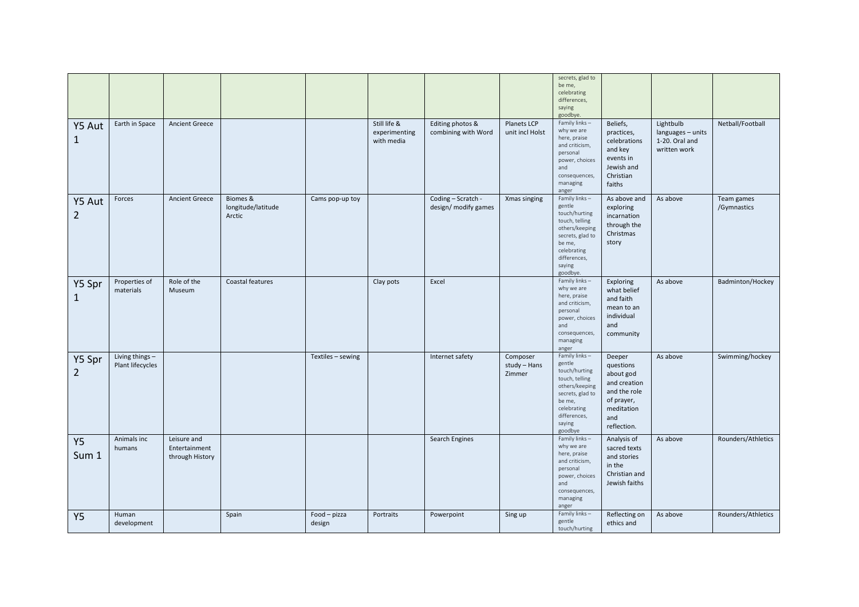| Y5 Aut                   | Earth in Space                      | <b>Ancient Greece</b>                           |                                          |                      | Still life &                | Editing photos &                           | Planets LCP                        | secrets, glad to<br>be me,<br>celebrating<br>differences,<br>saying<br>goodbye.<br>Family links -                                                                | Beliefs,                                                                                                           | Lightbulb                                           | Netball/Football          |
|--------------------------|-------------------------------------|-------------------------------------------------|------------------------------------------|----------------------|-----------------------------|--------------------------------------------|------------------------------------|------------------------------------------------------------------------------------------------------------------------------------------------------------------|--------------------------------------------------------------------------------------------------------------------|-----------------------------------------------------|---------------------------|
| $\mathbf{1}$             |                                     |                                                 |                                          |                      | experimenting<br>with media | combining with Word                        | unit incl Holst                    | why we are<br>here, praise<br>and criticism,<br>personal<br>power, choices<br>and<br>consequences,<br>managing<br>anger                                          | practices,<br>celebrations<br>and key<br>events in<br>Jewish and<br>Christian<br>faiths                            | languages - units<br>1-20. Oral and<br>written work |                           |
| Y5 Aut<br>$\overline{2}$ | Forces                              | <b>Ancient Greece</b>                           | Biomes &<br>longitude/latitude<br>Arctic | Cams pop-up toy      |                             | Coding - Scratch -<br>design/ modify games | Xmas singing                       | Family links -<br>gentle<br>touch/hurting<br>touch, telling<br>others/keeping<br>secrets, glad to<br>be me,<br>celebrating<br>differences,<br>saying<br>goodbye. | As above and<br>exploring<br>incarnation<br>through the<br>Christmas<br>story                                      | As above                                            | Team games<br>/Gymnastics |
| Y5 Spr<br>1              | Properties of<br>materials          | Role of the<br>Museum                           | Coastal features                         |                      | Clay pots                   | Excel                                      |                                    | Family links-<br>why we are<br>here, praise<br>and criticism,<br>personal<br>power, choices<br>and<br>consequences,<br>managing<br>anger                         | Exploring<br>what belief<br>and faith<br>mean to an<br>individual<br>and<br>community                              | As above                                            | Badminton/Hockey          |
| Y5 Spr<br>$\overline{2}$ | Living things -<br>Plant lifecycles |                                                 |                                          | Textiles - sewing    |                             | Internet safety                            | Composer<br>study - Hans<br>Zimmer | Family links-<br>gentle<br>touch/hurting<br>touch, telling<br>others/keeping<br>secrets, glad to<br>be me,<br>celebrating<br>differences,<br>saying<br>goodbye   | Deeper<br>questions<br>about god<br>and creation<br>and the role<br>of prayer,<br>meditation<br>and<br>reflection. | As above                                            | Swimming/hockey           |
| <b>Y5</b><br>Sum 1       | Animals inc<br>humans               | Leisure and<br>Entertainment<br>through History |                                          |                      |                             | Search Engines                             |                                    | Family links-<br>why we are<br>here, praise<br>and criticism,<br>personal<br>power, choices<br>and<br>consequences,<br>managing<br>anger                         | Analysis of<br>sacred texts<br>and stories<br>in the<br>Christian and<br>Jewish faiths                             | As above                                            | Rounders/Athletics        |
| <b>Y5</b>                | Human<br>development                |                                                 | Spain                                    | Food-pizza<br>design | Portraits                   | Powerpoint                                 | Sing up                            | Family links-<br>gentle<br>touch/hurting                                                                                                                         | Reflecting on<br>ethics and                                                                                        | As above                                            | Rounders/Athletics        |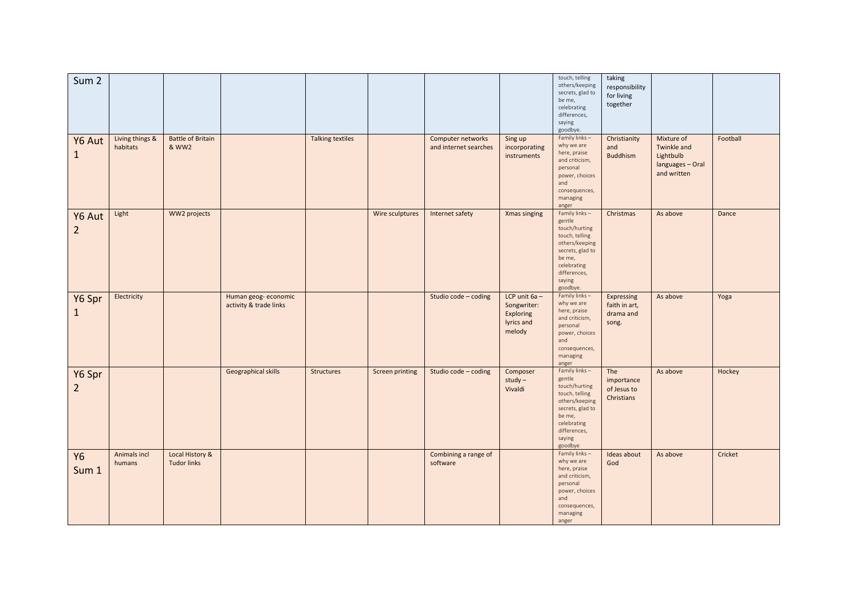| Sum <sub>2</sub>         |                             |                                       |                                               |                         |                 |                                            |                                                                     | touch, telling<br>others/keeping<br>secrets, glad to<br>be me,<br>celebrating<br>differences,<br>saying<br>goodbye.                                             | taking<br>responsibility<br>for living<br>together |                                                                           |          |
|--------------------------|-----------------------------|---------------------------------------|-----------------------------------------------|-------------------------|-----------------|--------------------------------------------|---------------------------------------------------------------------|-----------------------------------------------------------------------------------------------------------------------------------------------------------------|----------------------------------------------------|---------------------------------------------------------------------------|----------|
| Y6 Aut<br>$\mathbf{1}$   | Living things &<br>habitats | <b>Battle of Britain</b><br>& WW2     |                                               | <b>Talking textiles</b> |                 | Computer networks<br>and internet searches | Sing up<br>incorporating<br>instruments                             | Family links-<br>why we are<br>here, praise<br>and criticism,<br>personal<br>power, choices<br>and<br>consequences,<br>managing<br>anger                        | Christianity<br>and<br><b>Buddhism</b>             | Mixture of<br>Twinkle and<br>Lightbulb<br>languages - Oral<br>and written | Football |
| Y6 Aut<br>$\overline{2}$ | Light                       | WW2 projects                          |                                               |                         | Wire sculptures | Internet safety                            | Xmas singing                                                        | Family links-<br>gentle<br>touch/hurting<br>touch, telling<br>others/keeping<br>secrets, glad to<br>be me,<br>celebrating<br>differences,<br>saying<br>goodbye. | Christmas                                          | As above                                                                  | Dance    |
| Y6 Spr<br>$\mathbf{1}$   | Electricity                 |                                       | Human geog-economic<br>activity & trade links |                         |                 | Studio code - coding                       | LCP unit $6a -$<br>Songwriter:<br>Exploring<br>lyrics and<br>melody | Family links-<br>why we are<br>here, praise<br>and criticism,<br>personal<br>power, choices<br>and<br>consequences,<br>managing<br>anger                        | Expressing<br>faith in art,<br>drama and<br>song.  | As above                                                                  | Yoga     |
| Y6 Spr<br>$\overline{2}$ |                             |                                       | Geographical skills                           | <b>Structures</b>       | Screen printing | Studio code - coding                       | Composer<br>$study -$<br>Vivaldi                                    | Family links-<br>gentle<br>touch/hurting<br>touch, telling<br>others/keeping<br>secrets, glad to<br>be me,<br>celebrating<br>differences,<br>saying<br>goodbye  | The<br>importance<br>of Jesus to<br>Christians     | As above                                                                  | Hockey   |
| <b>Y6</b><br>Sum 1       | Animals incl<br>humans      | Local History &<br><b>Tudor links</b> |                                               |                         |                 | Combining a range of<br>software           |                                                                     | Family links-<br>why we are<br>here, praise<br>and criticism,<br>personal<br>power, choices<br>and<br>consequences,<br>managing<br>anger                        | Ideas about<br>God                                 | As above                                                                  | Cricket  |